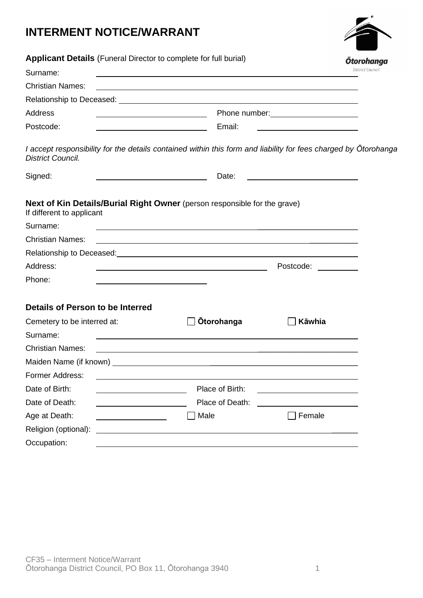## **INTERMENT NOTICE/WARRANT**

|  | <b>Ōtorohanga</b>       |  |
|--|-------------------------|--|
|  |                         |  |
|  | <b>District Council</b> |  |

| Applicant Details (Funeral Director to complete for full burial) |                                                                                                                                                                                                                                      | <b>Otorohanga</b>                                                                                               |  |  |  |
|------------------------------------------------------------------|--------------------------------------------------------------------------------------------------------------------------------------------------------------------------------------------------------------------------------------|-----------------------------------------------------------------------------------------------------------------|--|--|--|
| Surname:                                                         |                                                                                                                                                                                                                                      | <b>District Council</b>                                                                                         |  |  |  |
| <b>Christian Names:</b>                                          | and the control of the control of the control of the control of the control of the control of the control of the                                                                                                                     |                                                                                                                 |  |  |  |
|                                                                  |                                                                                                                                                                                                                                      |                                                                                                                 |  |  |  |
| <b>Address</b>                                                   |                                                                                                                                                                                                                                      |                                                                                                                 |  |  |  |
| Postcode:                                                        | Email:                                                                                                                                                                                                                               |                                                                                                                 |  |  |  |
| <b>District Council.</b>                                         |                                                                                                                                                                                                                                      | I accept responsibility for the details contained within this form and liability for fees charged by Otorohanga |  |  |  |
| Signed:                                                          | Date:                                                                                                                                                                                                                                |                                                                                                                 |  |  |  |
| If different to applicant                                        | <b>Next of Kin Details/Burial Right Owner</b> (person responsible for the grave)                                                                                                                                                     |                                                                                                                 |  |  |  |
| Surname:                                                         | <u> 1990 - Jan James James James James James James James James James James James James James James James James J</u>                                                                                                                 |                                                                                                                 |  |  |  |
| <b>Christian Names:</b>                                          | <u> 1989 - Jan Samuel Barbara, martin a shekara tsara 1989 - An tsara 1989 - An tsara 1989 - An tsara 1989 - An t</u>                                                                                                                |                                                                                                                 |  |  |  |
|                                                                  |                                                                                                                                                                                                                                      |                                                                                                                 |  |  |  |
| Address:                                                         | <u> 1980 - Johann Barn, fransk politik (d. 1980)</u>                                                                                                                                                                                 | Postcode: and the postcode:                                                                                     |  |  |  |
| Phone:                                                           |                                                                                                                                                                                                                                      |                                                                                                                 |  |  |  |
| Details of Person to be Interred                                 |                                                                                                                                                                                                                                      |                                                                                                                 |  |  |  |
| Cemetery to be interred at:                                      | <b>Otorohanga</b>                                                                                                                                                                                                                    | Kāwhia                                                                                                          |  |  |  |
| Surname:                                                         | <u> 1989 - Johann Marie Barn, mars an Francisco a Brasil (b. 1989)</u>                                                                                                                                                               |                                                                                                                 |  |  |  |
| <b>Christian Names:</b>                                          | <u> 1989 - Johann John Stein, markin film yn y brening yn y brening yn y brening yn y brening yn y brening yn y b</u>                                                                                                                |                                                                                                                 |  |  |  |
|                                                                  | Maiden Name (if known) <b>with the control of the control of the control of the control of the control of the control of the control of the control of the control of the control of the control of the control of the control o</b> |                                                                                                                 |  |  |  |
| Former Address:                                                  |                                                                                                                                                                                                                                      |                                                                                                                 |  |  |  |
| Date of Birth:                                                   | Place of Birth:                                                                                                                                                                                                                      |                                                                                                                 |  |  |  |
| Date of Death:                                                   | Place of Death:                                                                                                                                                                                                                      |                                                                                                                 |  |  |  |
| Age at Death:                                                    | Male                                                                                                                                                                                                                                 | Female                                                                                                          |  |  |  |
| Religion (optional):                                             |                                                                                                                                                                                                                                      |                                                                                                                 |  |  |  |
| Occupation:                                                      |                                                                                                                                                                                                                                      |                                                                                                                 |  |  |  |
|                                                                  |                                                                                                                                                                                                                                      |                                                                                                                 |  |  |  |